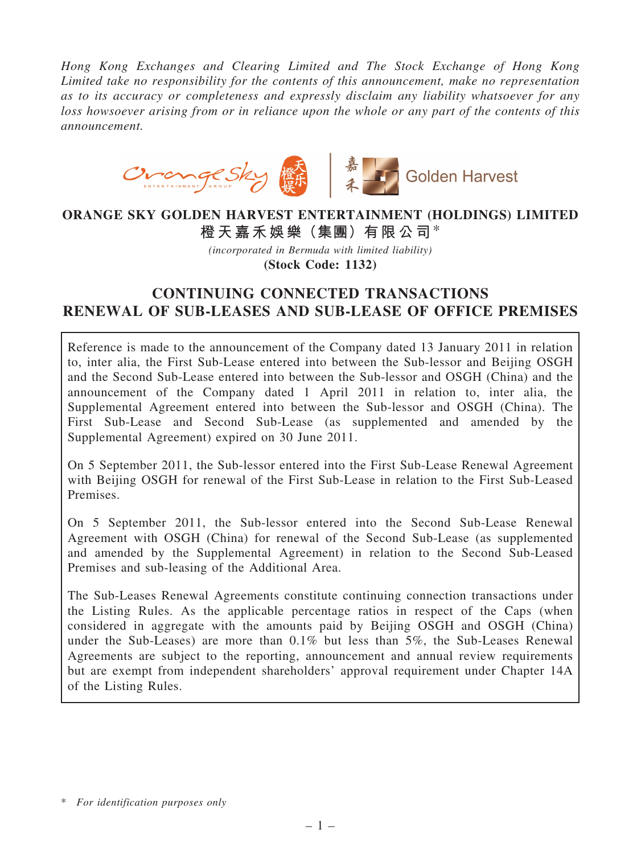Hong Kong Exchanges and Clearing Limited and The Stock Exchange of Hong Kong Limited take no responsibility for the contents of this announcement, make no representation as to its accuracy or completeness and expressly disclaim any liability whatsoever for any loss howsoever arising from or in reliance upon the whole or any part of the contents of this announcement.



## ORANGE SKY GOLDEN HARVEST ENTERTAINMENT (HOLDINGS) LIMITED 橙天嘉禾娛樂(集團)有限公司\*

(incorporated in Bermuda with limited liability) (Stock Code: 1132)

# CONTINUING CONNECTED TRANSACTIONS RENEWAL OF SUB-LEASES AND SUB-LEASE OF OFFICE PREMISES

Reference is made to the announcement of the Company dated 13 January 2011 in relation to, inter alia, the First Sub-Lease entered into between the Sub-lessor and Beijing OSGH and the Second Sub-Lease entered into between the Sub-lessor and OSGH (China) and the announcement of the Company dated 1 April 2011 in relation to, inter alia, the Supplemental Agreement entered into between the Sub-lessor and OSGH (China). The First Sub-Lease and Second Sub-Lease (as supplemented and amended by the Supplemental Agreement) expired on 30 June 2011.

On 5 September 2011, the Sub-lessor entered into the First Sub-Lease Renewal Agreement with Beijing OSGH for renewal of the First Sub-Lease in relation to the First Sub-Leased Premises.

On 5 September 2011, the Sub-lessor entered into the Second Sub-Lease Renewal Agreement with OSGH (China) for renewal of the Second Sub-Lease (as supplemented and amended by the Supplemental Agreement) in relation to the Second Sub-Leased Premises and sub-leasing of the Additional Area.

The Sub-Leases Renewal Agreements constitute continuing connection transactions under the Listing Rules. As the applicable percentage ratios in respect of the Caps (when considered in aggregate with the amounts paid by Beijing OSGH and OSGH (China) under the Sub-Leases) are more than 0.1% but less than 5%, the Sub-Leases Renewal Agreements are subject to the reporting, announcement and annual review requirements but are exempt from independent shareholders' approval requirement under Chapter 14A of the Listing Rules.

<sup>\*</sup> For identification purposes only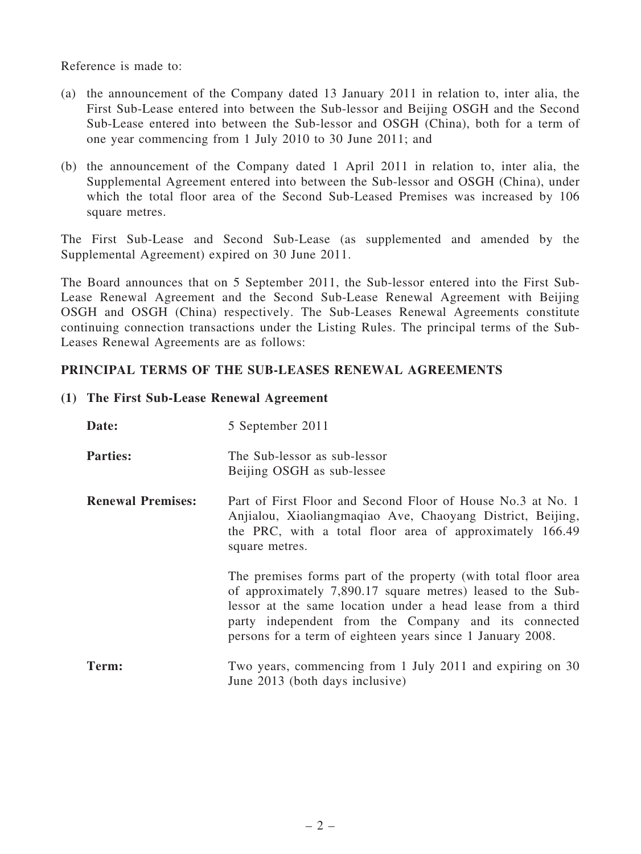Reference is made to:

- (a) the announcement of the Company dated 13 January 2011 in relation to, inter alia, the First Sub-Lease entered into between the Sub-lessor and Beijing OSGH and the Second Sub-Lease entered into between the Sub-lessor and OSGH (China), both for a term of one year commencing from 1 July 2010 to 30 June 2011; and
- (b) the announcement of the Company dated 1 April 2011 in relation to, inter alia, the Supplemental Agreement entered into between the Sub-lessor and OSGH (China), under which the total floor area of the Second Sub-Leased Premises was increased by 106 square metres.

The First Sub-Lease and Second Sub-Lease (as supplemented and amended by the Supplemental Agreement) expired on 30 June 2011.

The Board announces that on 5 September 2011, the Sub-lessor entered into the First Sub-Lease Renewal Agreement and the Second Sub-Lease Renewal Agreement with Beijing OSGH and OSGH (China) respectively. The Sub-Leases Renewal Agreements constitute continuing connection transactions under the Listing Rules. The principal terms of the Sub-Leases Renewal Agreements are as follows:

### PRINCIPAL TERMS OF THE SUB-LEASES RENEWAL AGREEMENTS

#### (1) The First Sub-Lease Renewal Agreement

| Date:                    | 5 September 2011                                                                                                                                                                                                                                                                                                   |
|--------------------------|--------------------------------------------------------------------------------------------------------------------------------------------------------------------------------------------------------------------------------------------------------------------------------------------------------------------|
| <b>Parties:</b>          | The Sub-lessor as sub-lessor<br>Beijing OSGH as sub-lessee                                                                                                                                                                                                                                                         |
| <b>Renewal Premises:</b> | Part of First Floor and Second Floor of House No.3 at No. 1<br>Anjialou, Xiaoliangmaqiao Ave, Chaoyang District, Beijing,<br>the PRC, with a total floor area of approximately 166.49<br>square metres.                                                                                                            |
|                          | The premises forms part of the property (with total floor area<br>of approximately 7,890.17 square metres) leased to the Sub-<br>lessor at the same location under a head lease from a third<br>party independent from the Company and its connected<br>persons for a term of eighteen years since 1 January 2008. |
| Term:                    | Two years, commencing from 1 July 2011 and expiring on 30<br>June 2013 (both days inclusive)                                                                                                                                                                                                                       |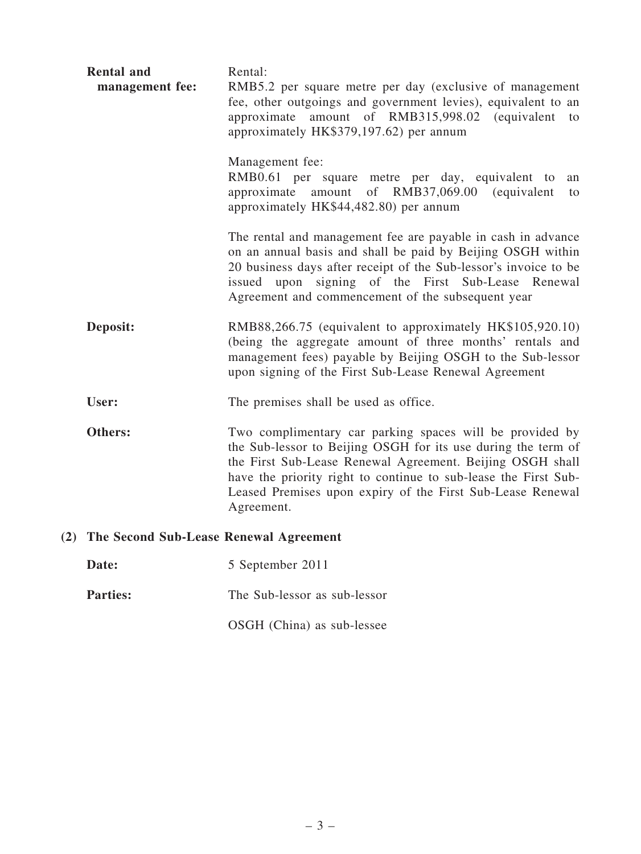| <b>Rental and</b><br>management fee:       | Rental:<br>RMB5.2 per square metre per day (exclusive of management<br>fee, other outgoings and government levies), equivalent to an<br>amount of RMB315,998.02 (equivalent to<br>approximate<br>approximately HK\$379,197.62) per annum                                                                                              |
|--------------------------------------------|---------------------------------------------------------------------------------------------------------------------------------------------------------------------------------------------------------------------------------------------------------------------------------------------------------------------------------------|
|                                            | Management fee:<br>RMB0.61 per square metre per day, equivalent to<br>an<br>approximate amount of RMB37,069.00<br><i>(equivalent)</i><br>to<br>approximately HK\$44,482.80) per annum                                                                                                                                                 |
|                                            | The rental and management fee are payable in cash in advance<br>on an annual basis and shall be paid by Beijing OSGH within<br>20 business days after receipt of the Sub-lessor's invoice to be<br>issued upon signing of the First Sub-Lease Renewal<br>Agreement and commencement of the subsequent year                            |
| Deposit:                                   | RMB88,266.75 (equivalent to approximately HK\$105,920.10)<br>(being the aggregate amount of three months' rentals and<br>management fees) payable by Beijing OSGH to the Sub-lessor<br>upon signing of the First Sub-Lease Renewal Agreement                                                                                          |
| User:                                      | The premises shall be used as office.                                                                                                                                                                                                                                                                                                 |
| Others:                                    | Two complimentary car parking spaces will be provided by<br>the Sub-lessor to Beijing OSGH for its use during the term of<br>the First Sub-Lease Renewal Agreement. Beijing OSGH shall<br>have the priority right to continue to sub-lease the First Sub-<br>Leased Premises upon expiry of the First Sub-Lease Renewal<br>Agreement. |
| (2) The Second Sub-Lease Renewal Agreement |                                                                                                                                                                                                                                                                                                                                       |
| Date:                                      | 5 September 2011                                                                                                                                                                                                                                                                                                                      |

**Parties:** The Sub-lessor as sub-lessor

OSGH (China) as sub-lessee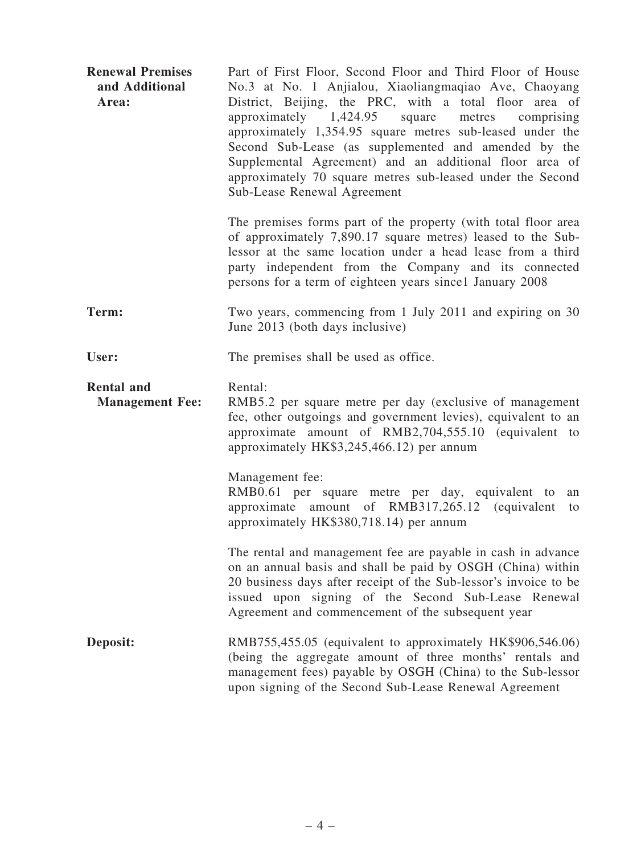| <b>Renewal Premises</b><br>and Additional<br>Area: | Part of First Floor, Second Floor and Third Floor of House<br>No.3 at No. 1 Anjialou, Xiaoliangmaqiao Ave, Chaoyang<br>District, Beijing, the PRC, with a total floor area of<br>approximately $1,424.95$<br>square<br>metres<br>comprising<br>approximately 1,354.95 square metres sub-leased under the<br>Second Sub-Lease (as supplemented and amended by the<br>Supplemental Agreement) and an additional floor area of<br>approximately 70 square metres sub-leased under the Second<br>Sub-Lease Renewal Agreement |
|----------------------------------------------------|--------------------------------------------------------------------------------------------------------------------------------------------------------------------------------------------------------------------------------------------------------------------------------------------------------------------------------------------------------------------------------------------------------------------------------------------------------------------------------------------------------------------------|
|                                                    | The premises forms part of the property (with total floor area<br>of approximately 7,890.17 square metres) leased to the Sub-<br>lessor at the same location under a head lease from a third<br>party independent from the Company and its connected<br>persons for a term of eighteen years since 1 January 2008                                                                                                                                                                                                        |
| Term:                                              | Two years, commencing from 1 July 2011 and expiring on 30<br>June 2013 (both days inclusive)                                                                                                                                                                                                                                                                                                                                                                                                                             |
| User:                                              | The premises shall be used as office.                                                                                                                                                                                                                                                                                                                                                                                                                                                                                    |
| <b>Rental and</b><br><b>Management Fee:</b>        | Rental:<br>RMB5.2 per square metre per day (exclusive of management<br>fee, other outgoings and government levies), equivalent to an<br>approximate amount of RMB2,704,555.10 (equivalent to<br>approximately HK\$3,245,466.12) per annum                                                                                                                                                                                                                                                                                |
|                                                    | Management fee:<br>RMB0.61 per square metre per day, equivalent to<br>an<br>amount of RMB317,265.12 (equivalent<br>approximate<br>to<br>approximately HK\$380,718.14) per annum                                                                                                                                                                                                                                                                                                                                          |
|                                                    | The rental and management fee are payable in cash in advance<br>on an annual basis and shall be paid by OSGH (China) within<br>20 business days after receipt of the Sub-lessor's invoice to be<br>issued upon signing of the Second Sub-Lease Renewal<br>Agreement and commencement of the subsequent year                                                                                                                                                                                                              |
| Deposit:                                           | RMB755,455.05 (equivalent to approximately HK\$906,546.06)<br>(being the aggregate amount of three months' rentals and                                                                                                                                                                                                                                                                                                                                                                                                   |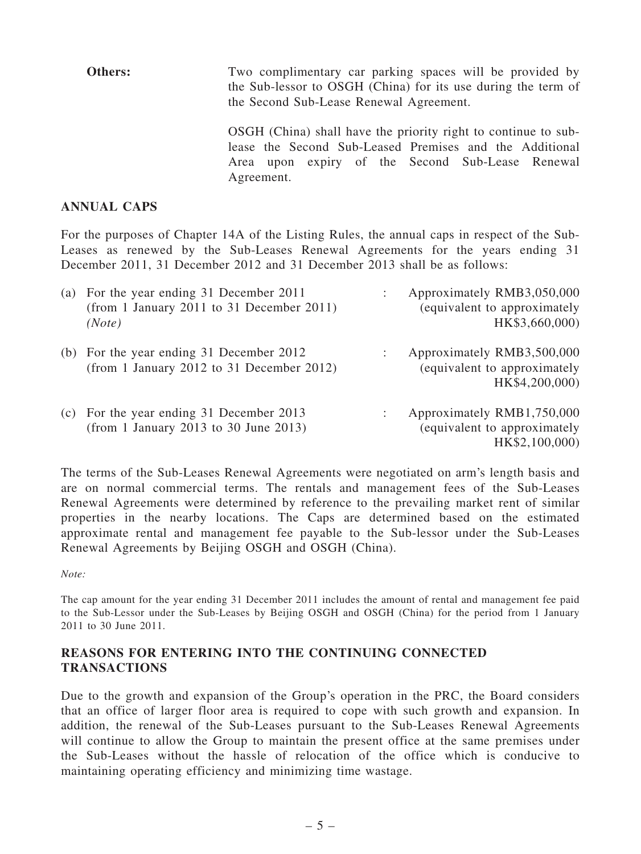Others: Two complimentary car parking spaces will be provided by the Sub-lessor to OSGH (China) for its use during the term of the Second Sub-Lease Renewal Agreement. OSGH (China) shall have the priority right to continue to sublease the Second Sub-Leased Premises and the Additional Area upon expiry of the Second Sub-Lease Renewal Agreement.

#### ANNUAL CAPS

For the purposes of Chapter 14A of the Listing Rules, the annual caps in respect of the Sub-Leases as renewed by the Sub-Leases Renewal Agreements for the years ending 31 December 2011, 31 December 2012 and 31 December 2013 shall be as follows:

| (a) | For the year ending 31 December 2011<br>(from 1 January 2011 to 31 December 2011)<br>(Note) | Approximately RMB3,050,000<br>(equivalent to approximately<br>HK\$3,660,000) |
|-----|---------------------------------------------------------------------------------------------|------------------------------------------------------------------------------|
|     | (b) For the year ending 31 December 2012<br>(from 1 January 2012 to 31 December 2012)       | Approximately RMB3,500,000<br>(equivalent to approximately<br>HK\$4,200,000) |
| (c) | For the year ending 31 December 2013<br>(from 1 January 2013 to 30 June 2013)               | Approximately RMB1,750,000<br>(equivalent to approximately<br>HK\$2,100,000) |

The terms of the Sub-Leases Renewal Agreements were negotiated on arm's length basis and are on normal commercial terms. The rentals and management fees of the Sub-Leases Renewal Agreements were determined by reference to the prevailing market rent of similar properties in the nearby locations. The Caps are determined based on the estimated approximate rental and management fee payable to the Sub-lessor under the Sub-Leases Renewal Agreements by Beijing OSGH and OSGH (China).

Note:

The cap amount for the year ending 31 December 2011 includes the amount of rental and management fee paid to the Sub-Lessor under the Sub-Leases by Beijing OSGH and OSGH (China) for the period from 1 January 2011 to 30 June 2011.

#### REASONS FOR ENTERING INTO THE CONTINUING CONNECTED TRANSACTIONS

Due to the growth and expansion of the Group's operation in the PRC, the Board considers that an office of larger floor area is required to cope with such growth and expansion. In addition, the renewal of the Sub-Leases pursuant to the Sub-Leases Renewal Agreements will continue to allow the Group to maintain the present office at the same premises under the Sub-Leases without the hassle of relocation of the office which is conducive to maintaining operating efficiency and minimizing time wastage.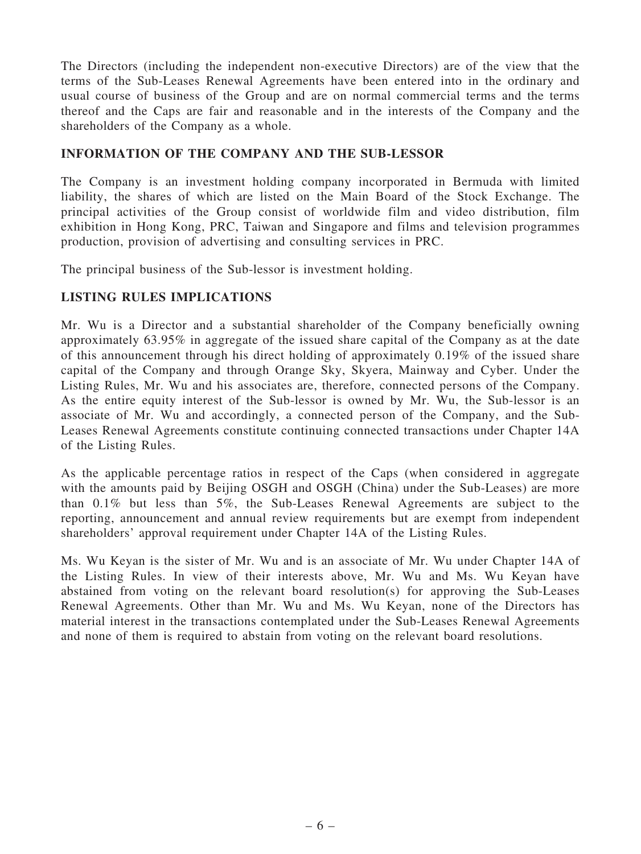The Directors (including the independent non-executive Directors) are of the view that the terms of the Sub-Leases Renewal Agreements have been entered into in the ordinary and usual course of business of the Group and are on normal commercial terms and the terms thereof and the Caps are fair and reasonable and in the interests of the Company and the shareholders of the Company as a whole.

### INFORMATION OF THE COMPANY AND THE SUB-LESSOR

The Company is an investment holding company incorporated in Bermuda with limited liability, the shares of which are listed on the Main Board of the Stock Exchange. The principal activities of the Group consist of worldwide film and video distribution, film exhibition in Hong Kong, PRC, Taiwan and Singapore and films and television programmes production, provision of advertising and consulting services in PRC.

The principal business of the Sub-lessor is investment holding.

### LISTING RULES IMPLICATIONS

Mr. Wu is a Director and a substantial shareholder of the Company beneficially owning approximately 63.95% in aggregate of the issued share capital of the Company as at the date of this announcement through his direct holding of approximately 0.19% of the issued share capital of the Company and through Orange Sky, Skyera, Mainway and Cyber. Under the Listing Rules, Mr. Wu and his associates are, therefore, connected persons of the Company. As the entire equity interest of the Sub-lessor is owned by Mr. Wu, the Sub-lessor is an associate of Mr. Wu and accordingly, a connected person of the Company, and the Sub-Leases Renewal Agreements constitute continuing connected transactions under Chapter 14A of the Listing Rules.

As the applicable percentage ratios in respect of the Caps (when considered in aggregate with the amounts paid by Beijing OSGH and OSGH (China) under the Sub-Leases) are more than 0.1% but less than 5%, the Sub-Leases Renewal Agreements are subject to the reporting, announcement and annual review requirements but are exempt from independent shareholders' approval requirement under Chapter 14A of the Listing Rules.

Ms. Wu Keyan is the sister of Mr. Wu and is an associate of Mr. Wu under Chapter 14A of the Listing Rules. In view of their interests above, Mr. Wu and Ms. Wu Keyan have abstained from voting on the relevant board resolution(s) for approving the Sub-Leases Renewal Agreements. Other than Mr. Wu and Ms. Wu Keyan, none of the Directors has material interest in the transactions contemplated under the Sub-Leases Renewal Agreements and none of them is required to abstain from voting on the relevant board resolutions.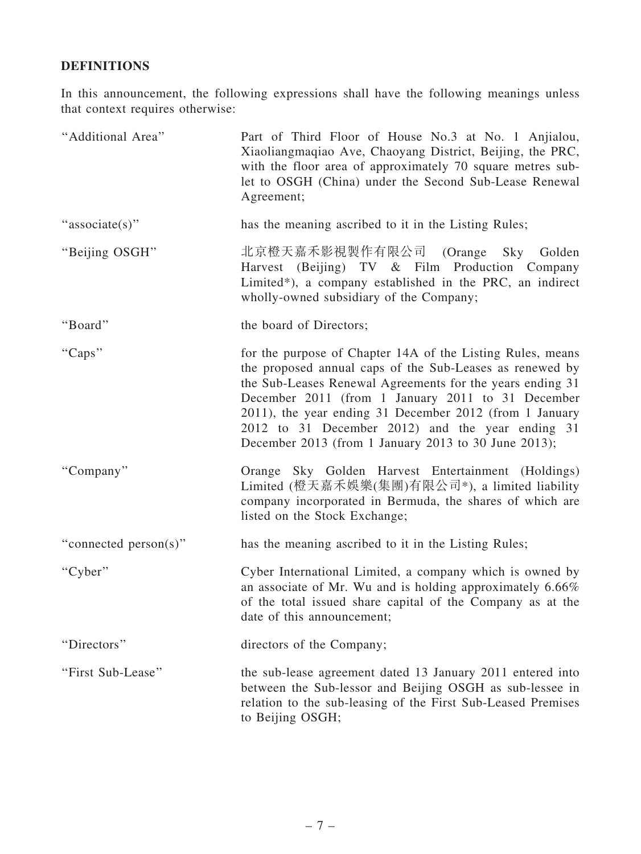## DEFINITIONS

In this announcement, the following expressions shall have the following meanings unless that context requires otherwise:

| "Additional Area"     | Part of Third Floor of House No.3 at No. 1 Anjialou,<br>Xiaoliangmaqiao Ave, Chaoyang District, Beijing, the PRC,<br>with the floor area of approximately 70 square metres sub-<br>let to OSGH (China) under the Second Sub-Lease Renewal<br>Agreement;                                                                                                                                                         |
|-----------------------|-----------------------------------------------------------------------------------------------------------------------------------------------------------------------------------------------------------------------------------------------------------------------------------------------------------------------------------------------------------------------------------------------------------------|
| "associate(s)"        | has the meaning ascribed to it in the Listing Rules;                                                                                                                                                                                                                                                                                                                                                            |
| "Beijing OSGH"        | 北京橙天嘉禾影視製作有限公司 (Orange Sky Golden<br>Harvest (Beijing) TV & Film Production Company<br>Limited*), a company established in the PRC, an indirect<br>wholly-owned subsidiary of the Company;                                                                                                                                                                                                                      |
| "Board"               | the board of Directors;                                                                                                                                                                                                                                                                                                                                                                                         |
| "Caps"                | for the purpose of Chapter 14A of the Listing Rules, means<br>the proposed annual caps of the Sub-Leases as renewed by<br>the Sub-Leases Renewal Agreements for the years ending 31<br>December 2011 (from 1 January 2011 to 31 December<br>2011), the year ending 31 December 2012 (from 1 January<br>2012 to 31 December 2012) and the year ending 31<br>December 2013 (from 1 January 2013 to 30 June 2013); |
| "Company"             | Orange Sky Golden Harvest Entertainment (Holdings)<br>Limited (橙天嘉禾娛樂(集團)有限公司*), a limited liability<br>company incorporated in Bermuda, the shares of which are<br>listed on the Stock Exchange;                                                                                                                                                                                                               |
| "connected person(s)" | has the meaning ascribed to it in the Listing Rules;                                                                                                                                                                                                                                                                                                                                                            |
| "Cyber"               | Cyber International Limited, a company which is owned by<br>an associate of Mr. Wu and is holding approximately $6.66\%$<br>of the total issued share capital of the Company as at the<br>date of this announcement;                                                                                                                                                                                            |
| "Directors"           | directors of the Company;                                                                                                                                                                                                                                                                                                                                                                                       |
| "First Sub-Lease"     | the sub-lease agreement dated 13 January 2011 entered into<br>between the Sub-lessor and Beijing OSGH as sub-lessee in<br>relation to the sub-leasing of the First Sub-Leased Premises<br>to Beijing OSGH;                                                                                                                                                                                                      |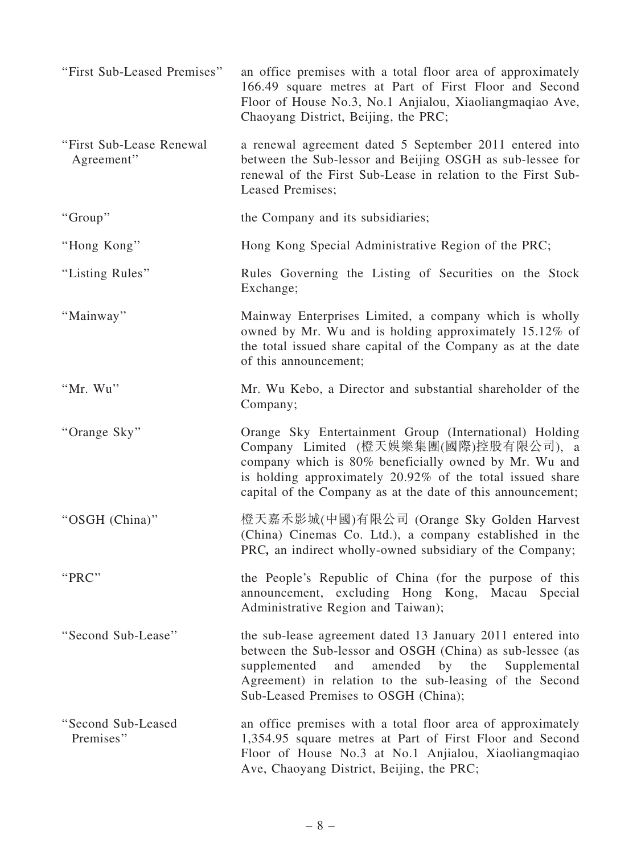| "First Sub-Leased Premises"            | an office premises with a total floor area of approximately<br>166.49 square metres at Part of First Floor and Second<br>Floor of House No.3, No.1 Anjialou, Xiaoliangmaqiao Ave,<br>Chaoyang District, Beijing, the PRC;                                                            |
|----------------------------------------|--------------------------------------------------------------------------------------------------------------------------------------------------------------------------------------------------------------------------------------------------------------------------------------|
| "First Sub-Lease Renewal<br>Agreement" | a renewal agreement dated 5 September 2011 entered into<br>between the Sub-lessor and Beijing OSGH as sub-lessee for<br>renewal of the First Sub-Lease in relation to the First Sub-<br>Leased Premises;                                                                             |
| "Group"                                | the Company and its subsidiaries;                                                                                                                                                                                                                                                    |
| "Hong Kong"                            | Hong Kong Special Administrative Region of the PRC;                                                                                                                                                                                                                                  |
| "Listing Rules"                        | Rules Governing the Listing of Securities on the Stock<br>Exchange;                                                                                                                                                                                                                  |
| "Mainway"                              | Mainway Enterprises Limited, a company which is wholly<br>owned by Mr. Wu and is holding approximately 15.12% of<br>the total issued share capital of the Company as at the date<br>of this announcement;                                                                            |
| "Mr. Wu"                               | Mr. Wu Kebo, a Director and substantial shareholder of the<br>Company;                                                                                                                                                                                                               |
| "Orange Sky"                           | Orange Sky Entertainment Group (International) Holding<br>Company Limited (橙天娛樂集團(國際)控股有限公司), a<br>company which is 80% beneficially owned by Mr. Wu and<br>is holding approximately 20.92% of the total issued share<br>capital of the Company as at the date of this announcement; |
| "OSGH (China)"                         | 橙天嘉禾影城(中國)有限公司 (Orange Sky Golden Harvest<br>(China) Cinemas Co. Ltd.), a company established in the<br>PRC, an indirect wholly-owned subsidiary of the Company;                                                                                                                     |
| "PRC"                                  | the People's Republic of China (for the purpose of this<br>announcement, excluding Hong Kong, Macau Special<br>Administrative Region and Taiwan);                                                                                                                                    |
| "Second Sub-Lease"                     | the sub-lease agreement dated 13 January 2011 entered into<br>between the Sub-lessor and OSGH (China) as sub-lessee (as<br>amended by the<br>supplemented<br>and<br>Supplemental<br>Agreement) in relation to the sub-leasing of the Second<br>Sub-Leased Premises to OSGH (China);  |
| "Second Sub-Leased<br>Premises"        | an office premises with a total floor area of approximately<br>1,354.95 square metres at Part of First Floor and Second<br>Floor of House No.3 at No.1 Anjialou, Xiaoliangmaqiao<br>Ave, Chaoyang District, Beijing, the PRC;                                                        |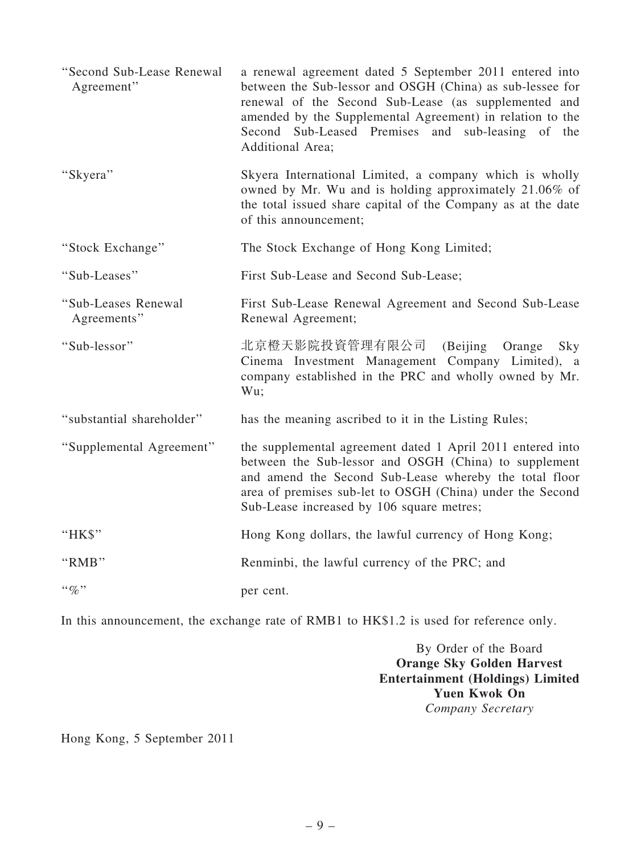| "Second Sub-Lease Renewal<br>Agreement" | a renewal agreement dated 5 September 2011 entered into<br>between the Sub-lessor and OSGH (China) as sub-lessee for<br>renewal of the Second Sub-Lease (as supplemented and<br>amended by the Supplemental Agreement) in relation to the<br>Second Sub-Leased Premises and sub-leasing of the<br>Additional Area; |
|-----------------------------------------|--------------------------------------------------------------------------------------------------------------------------------------------------------------------------------------------------------------------------------------------------------------------------------------------------------------------|
| "Skyera"                                | Skyera International Limited, a company which is wholly<br>owned by Mr. Wu and is holding approximately 21.06% of<br>the total issued share capital of the Company as at the date<br>of this announcement;                                                                                                         |
| "Stock Exchange"                        | The Stock Exchange of Hong Kong Limited;                                                                                                                                                                                                                                                                           |
| "Sub-Leases"                            | First Sub-Lease and Second Sub-Lease;                                                                                                                                                                                                                                                                              |
| "Sub-Leases Renewal<br>Agreements"      | First Sub-Lease Renewal Agreement and Second Sub-Lease<br>Renewal Agreement;                                                                                                                                                                                                                                       |
| "Sub-lessor"                            | 北京橙天影院投資管理有限公司<br>(Beijing Orange<br>Sky<br>Cinema Investment Management Company Limited), a<br>company established in the PRC and wholly owned by Mr.<br>Wu;                                                                                                                                                      |
| "substantial shareholder"               | has the meaning ascribed to it in the Listing Rules;                                                                                                                                                                                                                                                               |
| "Supplemental Agreement"                | the supplemental agreement dated 1 April 2011 entered into<br>between the Sub-lessor and OSGH (China) to supplement<br>and amend the Second Sub-Lease whereby the total floor<br>area of premises sub-let to OSGH (China) under the Second<br>Sub-Lease increased by 106 square metres;                            |
| "HK\$"                                  | Hong Kong dollars, the lawful currency of Hong Kong;                                                                                                                                                                                                                                                               |
| "RMB"                                   | Renminbi, the lawful currency of the PRC; and                                                                                                                                                                                                                                                                      |
| $``q_0"$                                | per cent.                                                                                                                                                                                                                                                                                                          |

In this announcement, the exchange rate of RMB1 to HK\$1.2 is used for reference only.

By Order of the Board Orange Sky Golden Harvest Entertainment (Holdings) Limited Yuen Kwok On Company Secretary

Hong Kong, 5 September 2011